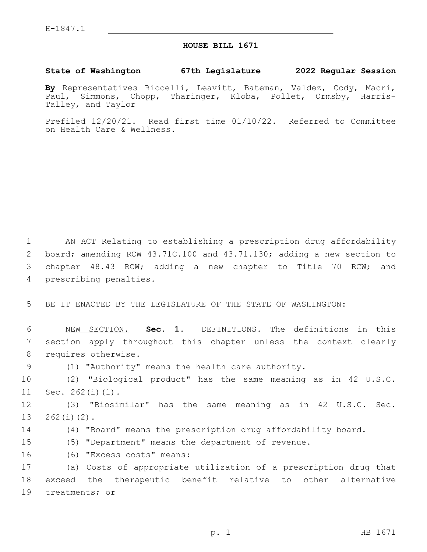## **HOUSE BILL 1671**

## **State of Washington 67th Legislature 2022 Regular Session**

**By** Representatives Riccelli, Leavitt, Bateman, Valdez, Cody, Macri, Paul, Simmons, Chopp, Tharinger, Kloba, Pollet, Ormsby, Harris-Talley, and Taylor

Prefiled 12/20/21. Read first time 01/10/22. Referred to Committee on Health Care & Wellness.

 AN ACT Relating to establishing a prescription drug affordability board; amending RCW 43.71C.100 and 43.71.130; adding a new section to chapter 48.43 RCW; adding a new chapter to Title 70 RCW; and 4 prescribing penalties.

5 BE IT ENACTED BY THE LEGISLATURE OF THE STATE OF WASHINGTON:

6 NEW SECTION. **Sec. 1.** DEFINITIONS. The definitions in this 7 section apply throughout this chapter unless the context clearly 8 requires otherwise.

9 (1) "Authority" means the health care authority.

10 (2) "Biological product" has the same meaning as in 42 U.S.C.  $11 \t\t\t\tSec. 262(i)(1).$ 

12 (3) "Biosimilar" has the same meaning as in 42 U.S.C. Sec.  $13$   $262(i)(2)$ .

14 (4) "Board" means the prescription drug affordability board.

15 (5) "Department" means the department of revenue.

(6) "Excess costs" means:16

17 (a) Costs of appropriate utilization of a prescription drug that 18 exceed the therapeutic benefit relative to other alternative 19 treatments; or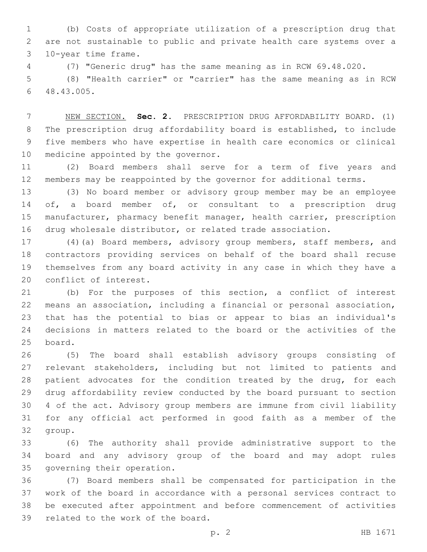(b) Costs of appropriate utilization of a prescription drug that are not sustainable to public and private health care systems over a 10-year time frame.3

(7) "Generic drug" has the same meaning as in RCW 69.48.020.

 (8) "Health carrier" or "carrier" has the same meaning as in RCW 48.43.005.6

 NEW SECTION. **Sec. 2.** PRESCRIPTION DRUG AFFORDABILITY BOARD. (1) The prescription drug affordability board is established, to include five members who have expertise in health care economics or clinical medicine appointed by the governor.

 (2) Board members shall serve for a term of five years and members may be reappointed by the governor for additional terms.

 (3) No board member or advisory group member may be an employee 14 of, a board member of, or consultant to a prescription drug manufacturer, pharmacy benefit manager, health carrier, prescription drug wholesale distributor, or related trade association.

 (4)(a) Board members, advisory group members, staff members, and contractors providing services on behalf of the board shall recuse themselves from any board activity in any case in which they have a 20 conflict of interest.

 (b) For the purposes of this section, a conflict of interest means an association, including a financial or personal association, that has the potential to bias or appear to bias an individual's decisions in matters related to the board or the activities of the 25 board.

 (5) The board shall establish advisory groups consisting of relevant stakeholders, including but not limited to patients and 28 patient advocates for the condition treated by the drug, for each drug affordability review conducted by the board pursuant to section 4 of the act. Advisory group members are immune from civil liability for any official act performed in good faith as a member of the 32 group.

 (6) The authority shall provide administrative support to the board and any advisory group of the board and may adopt rules 35 governing their operation.

 (7) Board members shall be compensated for participation in the work of the board in accordance with a personal services contract to be executed after appointment and before commencement of activities 39 related to the work of the board.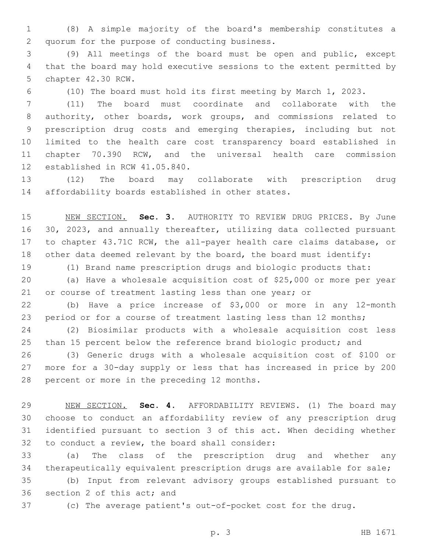(8) A simple majority of the board's membership constitutes a 2 quorum for the purpose of conducting business.

 (9) All meetings of the board must be open and public, except that the board may hold executive sessions to the extent permitted by 5 chapter 42.30 RCW.

(10) The board must hold its first meeting by March 1, 2023.

 (11) The board must coordinate and collaborate with the authority, other boards, work groups, and commissions related to prescription drug costs and emerging therapies, including but not limited to the health care cost transparency board established in chapter 70.390 RCW, and the universal health care commission 12 established in RCW 41.05.840.

 (12) The board may collaborate with prescription drug 14 affordability boards established in other states.

 NEW SECTION. **Sec. 3.** AUTHORITY TO REVIEW DRUG PRICES. By June 30, 2023, and annually thereafter, utilizing data collected pursuant to chapter 43.71C RCW, the all-payer health care claims database, or other data deemed relevant by the board, the board must identify:

(1) Brand name prescription drugs and biologic products that:

 (a) Have a wholesale acquisition cost of \$25,000 or more per year or course of treatment lasting less than one year; or

 (b) Have a price increase of \$3,000 or more in any 12-month period or for a course of treatment lasting less than 12 months;

 (2) Biosimilar products with a wholesale acquisition cost less 25 than 15 percent below the reference brand biologic product; and

 (3) Generic drugs with a wholesale acquisition cost of \$100 or more for a 30-day supply or less that has increased in price by 200 28 percent or more in the preceding 12 months.

 NEW SECTION. **Sec. 4.** AFFORDABILITY REVIEWS. (1) The board may choose to conduct an affordability review of any prescription drug identified pursuant to section 3 of this act. When deciding whether to conduct a review, the board shall consider:

 (a) The class of the prescription drug and whether any therapeutically equivalent prescription drugs are available for sale;

 (b) Input from relevant advisory groups established pursuant to 36 section 2 of this act; and

(c) The average patient's out-of-pocket cost for the drug.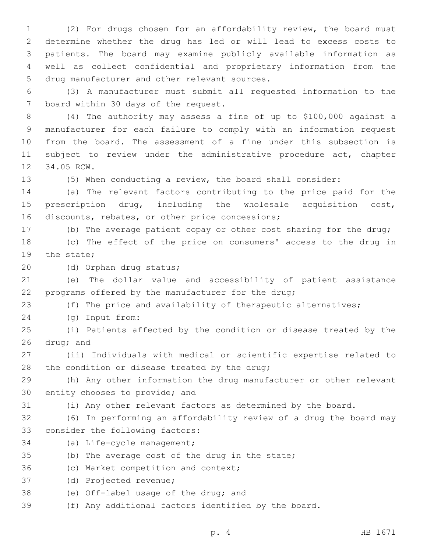(2) For drugs chosen for an affordability review, the board must determine whether the drug has led or will lead to excess costs to patients. The board may examine publicly available information as well as collect confidential and proprietary information from the 5 drug manufacturer and other relevant sources.

6 (3) A manufacturer must submit all requested information to the 7 board within 30 days of the request.

8 (4) The authority may assess a fine of up to \$100,000 against a 9 manufacturer for each failure to comply with an information request 10 from the board. The assessment of a fine under this subsection is 11 subject to review under the administrative procedure act, chapter 12 34.05 RCW.

13 (5) When conducting a review, the board shall consider:

14 (a) The relevant factors contributing to the price paid for the 15 prescription drug, including the wholesale acquisition cost, 16 discounts, rebates, or other price concessions;

17 (b) The average patient copay or other cost sharing for the drug;

18 (c) The effect of the price on consumers' access to the drug in 19 the state:

20 (d) Orphan drug status;

21 (e) The dollar value and accessibility of patient assistance 22 programs offered by the manufacturer for the drug;

23 (f) The price and availability of therapeutic alternatives;

(g) Input from:24

25 (i) Patients affected by the condition or disease treated by the  $26$  drug; and

27 (ii) Individuals with medical or scientific expertise related to 28 the condition or disease treated by the drug;

29 (h) Any other information the drug manufacturer or other relevant 30 entity chooses to provide; and

31 (i) Any other relevant factors as determined by the board.

32 (6) In performing an affordability review of a drug the board may 33 consider the following factors:

- 34 (a) Life-cycle management;
- 35 (b) The average cost of the drug in the state;

36 (c) Market competition and context;

37 (d) Projected revenue;

38 (e) Off-label usage of the drug; and

39 (f) Any additional factors identified by the board.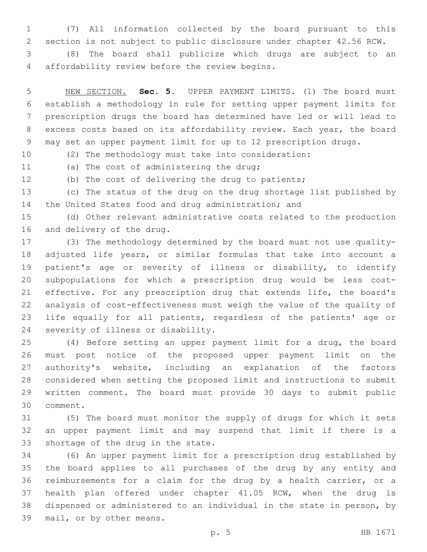(7) All information collected by the board pursuant to this section is not subject to public disclosure under chapter 42.56 RCW.

 (8) The board shall publicize which drugs are subject to an affordability review before the review begins.4

 NEW SECTION. **Sec. 5.** UPPER PAYMENT LIMITS. (1) The board must establish a methodology in rule for setting upper payment limits for prescription drugs the board has determined have led or will lead to excess costs based on its affordability review. Each year, the board may set an upper payment limit for up to 12 prescription drugs.

(2) The methodology must take into consideration:

11 (a) The cost of administering the drug;

(b) The cost of delivering the drug to patients;

 (c) The status of the drug on the drug shortage list published by the United States food and drug administration; and

 (d) Other relevant administrative costs related to the production 16 and delivery of the drug.

 (3) The methodology determined by the board must not use quality- adjusted life years, or similar formulas that take into account a patient's age or severity of illness or disability, to identify subpopulations for which a prescription drug would be less cost- effective. For any prescription drug that extends life, the board's analysis of cost-effectiveness must weigh the value of the quality of life equally for all patients, regardless of the patients' age or 24 severity of illness or disability.

 (4) Before setting an upper payment limit for a drug, the board must post notice of the proposed upper payment limit on the authority's website, including an explanation of the factors considered when setting the proposed limit and instructions to submit written comment. The board must provide 30 days to submit public 30 comment.

 (5) The board must monitor the supply of drugs for which it sets an upper payment limit and may suspend that limit if there is a 33 shortage of the drug in the state.

 (6) An upper payment limit for a prescription drug established by the board applies to all purchases of the drug by any entity and reimbursements for a claim for the drug by a health carrier, or a health plan offered under chapter 41.05 RCW, when the drug is dispensed or administered to an individual in the state in person, by 39 mail, or by other means.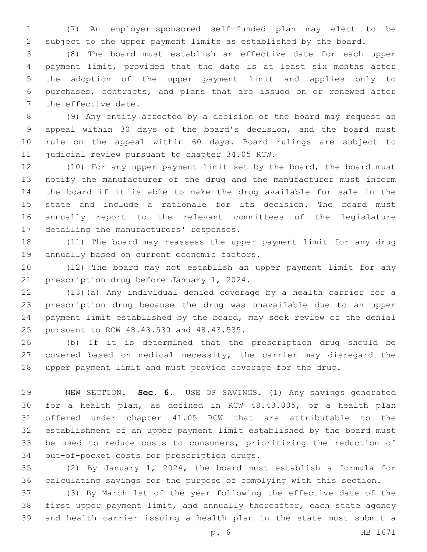(7) An employer-sponsored self-funded plan may elect to be subject to the upper payment limits as established by the board.

 (8) The board must establish an effective date for each upper payment limit, provided that the date is at least six months after the adoption of the upper payment limit and applies only to purchases, contracts, and plans that are issued on or renewed after 7 the effective date.

 (9) Any entity affected by a decision of the board may request an appeal within 30 days of the board's decision, and the board must rule on the appeal within 60 days. Board rulings are subject to 11 judicial review pursuant to chapter 34.05 RCW.

 (10) For any upper payment limit set by the board, the board must notify the manufacturer of the drug and the manufacturer must inform the board if it is able to make the drug available for sale in the state and include a rationale for its decision. The board must annually report to the relevant committees of the legislature 17 detailing the manufacturers' responses.

 (11) The board may reassess the upper payment limit for any drug 19 annually based on current economic factors.

 (12) The board may not establish an upper payment limit for any 21 prescription drug before January 1, 2024.

 (13)(a) Any individual denied coverage by a health carrier for a prescription drug because the drug was unavailable due to an upper payment limit established by the board, may seek review of the denial 25 pursuant to RCW 48.43.530 and 48.43.535.

 (b) If it is determined that the prescription drug should be covered based on medical necessity, the carrier may disregard the upper payment limit and must provide coverage for the drug.

 NEW SECTION. **Sec. 6.** USE OF SAVINGS. (1) Any savings generated for a health plan, as defined in RCW 48.43.005, or a health plan offered under chapter 41.05 RCW that are attributable to the establishment of an upper payment limit established by the board must be used to reduce costs to consumers, prioritizing the reduction of out-of-pocket costs for prescription drugs.

 (2) By January 1, 2024, the board must establish a formula for calculating savings for the purpose of complying with this section.

 (3) By March 1st of the year following the effective date of the first upper payment limit, and annually thereafter, each state agency and health carrier issuing a health plan in the state must submit a

p. 6 HB 1671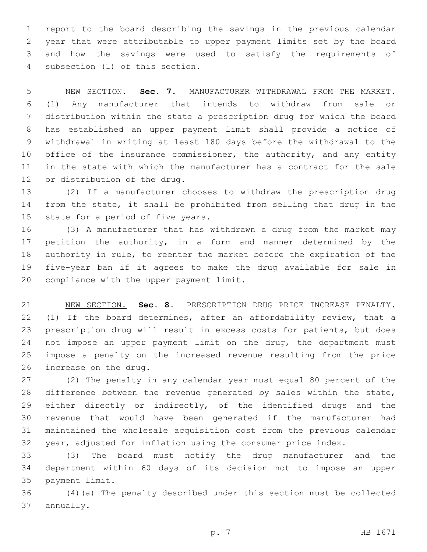report to the board describing the savings in the previous calendar year that were attributable to upper payment limits set by the board and how the savings were used to satisfy the requirements of 4 subsection (1) of this section.

 NEW SECTION. **Sec. 7.** MANUFACTURER WITHDRAWAL FROM THE MARKET. (1) Any manufacturer that intends to withdraw from sale or distribution within the state a prescription drug for which the board has established an upper payment limit shall provide a notice of withdrawal in writing at least 180 days before the withdrawal to the 10 office of the insurance commissioner, the authority, and any entity in the state with which the manufacturer has a contract for the sale or distribution of the drug.

 (2) If a manufacturer chooses to withdraw the prescription drug from the state, it shall be prohibited from selling that drug in the 15 state for a period of five years.

 (3) A manufacturer that has withdrawn a drug from the market may petition the authority, in a form and manner determined by the authority in rule, to reenter the market before the expiration of the five-year ban if it agrees to make the drug available for sale in 20 compliance with the upper payment limit.

 NEW SECTION. **Sec. 8.** PRESCRIPTION DRUG PRICE INCREASE PENALTY. 22 (1) If the board determines, after an affordability review, that a prescription drug will result in excess costs for patients, but does 24 not impose an upper payment limit on the drug, the department must impose a penalty on the increased revenue resulting from the price increase on the drug.

 (2) The penalty in any calendar year must equal 80 percent of the 28 difference between the revenue generated by sales within the state, either directly or indirectly, of the identified drugs and the revenue that would have been generated if the manufacturer had maintained the wholesale acquisition cost from the previous calendar year, adjusted for inflation using the consumer price index.

 (3) The board must notify the drug manufacturer and the department within 60 days of its decision not to impose an upper 35 payment limit.

 (4)(a) The penalty described under this section must be collected 37 annually.

p. 7 HB 1671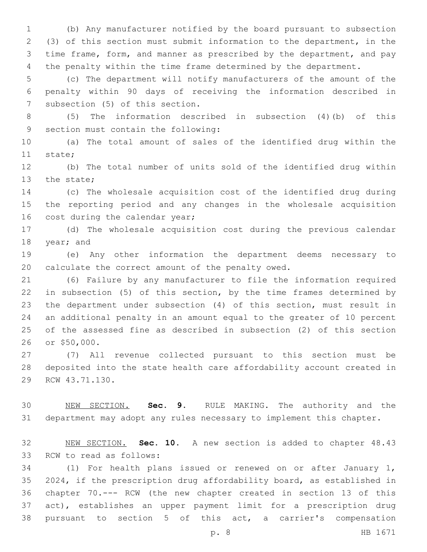(b) Any manufacturer notified by the board pursuant to subsection (3) of this section must submit information to the department, in the time frame, form, and manner as prescribed by the department, and pay the penalty within the time frame determined by the department.

 (c) The department will notify manufacturers of the amount of the penalty within 90 days of receiving the information described in 7 subsection (5) of this section.

 (5) The information described in subsection (4)(b) of this 9 section must contain the following:

 (a) The total amount of sales of the identified drug within the 11 state;

 (b) The total number of units sold of the identified drug within 13 the state;

 (c) The wholesale acquisition cost of the identified drug during the reporting period and any changes in the wholesale acquisition 16 cost during the calendar year;

 (d) The wholesale acquisition cost during the previous calendar 18 year; and

 (e) Any other information the department deems necessary to 20 calculate the correct amount of the penalty owed.

 (6) Failure by any manufacturer to file the information required in subsection (5) of this section, by the time frames determined by the department under subsection (4) of this section, must result in an additional penalty in an amount equal to the greater of 10 percent of the assessed fine as described in subsection (2) of this section 26 or \$50,000.

 (7) All revenue collected pursuant to this section must be deposited into the state health care affordability account created in 29 RCW 43.71.130.

 NEW SECTION. **Sec. 9.** RULE MAKING. The authority and the department may adopt any rules necessary to implement this chapter.

 NEW SECTION. **Sec. 10.** A new section is added to chapter 48.43 33 RCW to read as follows:

 (1) For health plans issued or renewed on or after January 1, 2024, if the prescription drug affordability board, as established in chapter 70.--- RCW (the new chapter created in section 13 of this act), establishes an upper payment limit for a prescription drug pursuant to section 5 of this act, a carrier's compensation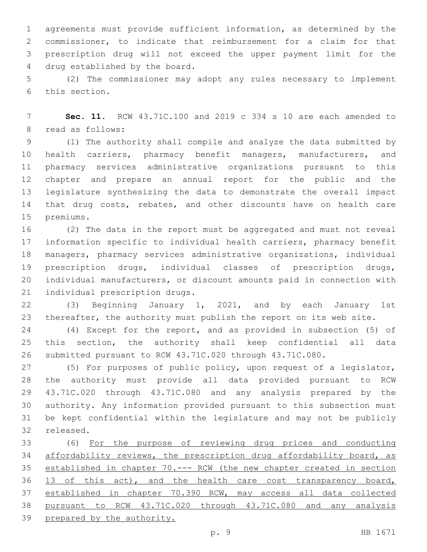agreements must provide sufficient information, as determined by the commissioner, to indicate that reimbursement for a claim for that prescription drug will not exceed the upper payment limit for the 4 drug established by the board.

 (2) The commissioner may adopt any rules necessary to implement 6 this section.

 **Sec. 11.** RCW 43.71C.100 and 2019 c 334 s 10 are each amended to 8 read as follows:

 (1) The authority shall compile and analyze the data submitted by health carriers, pharmacy benefit managers, manufacturers, and pharmacy services administrative organizations pursuant to this chapter and prepare an annual report for the public and the legislature synthesizing the data to demonstrate the overall impact 14 that drug costs, rebates, and other discounts have on health care 15 premiums.

 (2) The data in the report must be aggregated and must not reveal information specific to individual health carriers, pharmacy benefit managers, pharmacy services administrative organizations, individual prescription drugs, individual classes of prescription drugs, individual manufacturers, or discount amounts paid in connection with 21 individual prescription drugs.

 (3) Beginning January 1, 2021, and by each January 1st thereafter, the authority must publish the report on its web site.

 (4) Except for the report, and as provided in subsection (5) of this section, the authority shall keep confidential all data submitted pursuant to RCW 43.71C.020 through 43.71C.080.

 (5) For purposes of public policy, upon request of a legislator, the authority must provide all data provided pursuant to RCW 43.71C.020 through 43.71C.080 and any analysis prepared by the authority. Any information provided pursuant to this subsection must be kept confidential within the legislature and may not be publicly 32 released.

 (6) For the purpose of reviewing drug prices and conducting affordability reviews, the prescription drug affordability board, as established in chapter 70.--- RCW (the new chapter created in section 13 of this act), and the health care cost transparency board, established in chapter 70.390 RCW, may access all data collected pursuant to RCW 43.71C.020 through 43.71C.080 and any analysis prepared by the authority.